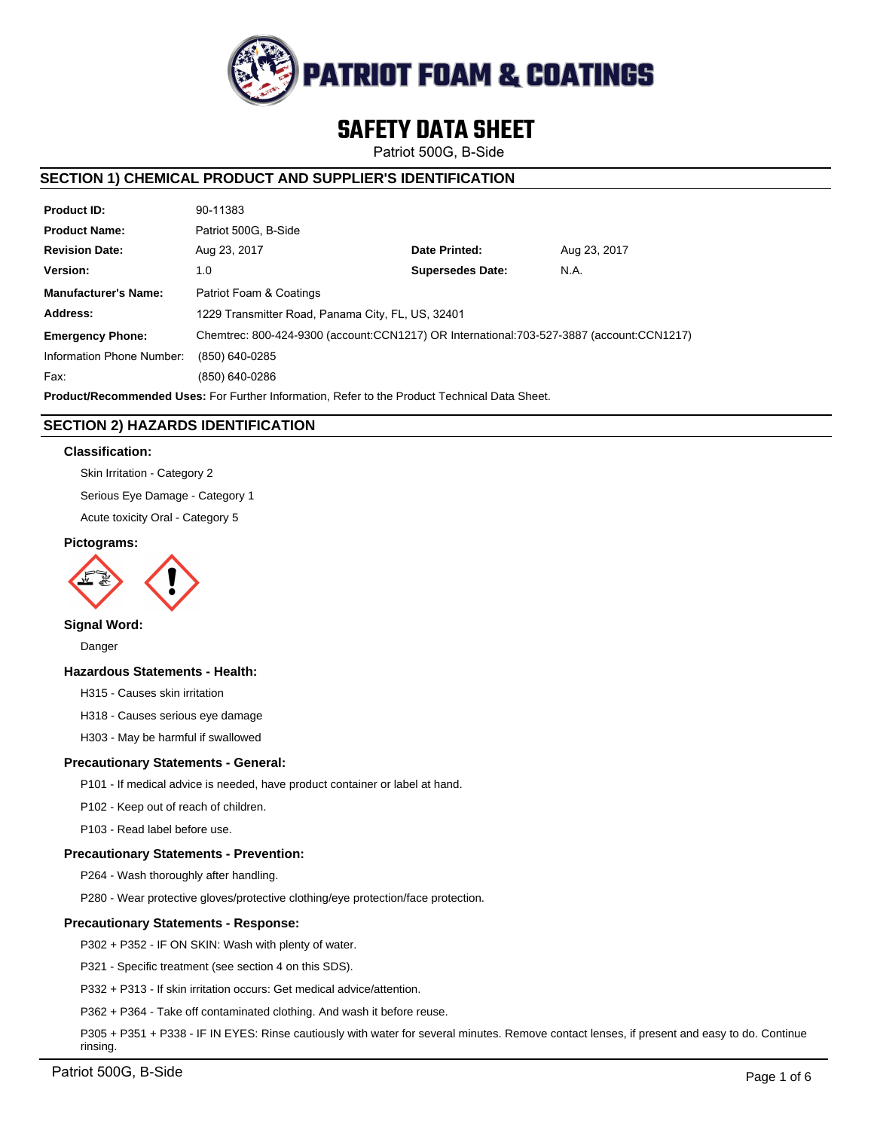

# **SAFETY DATA SHEET**

Patriot 500G, B-Side

# **SECTION 1) CHEMICAL PRODUCT AND SUPPLIER'S IDENTIFICATION**

| <b>Product ID:</b>                                                                                   | 90-11383                                                                                 |                         |              |  |
|------------------------------------------------------------------------------------------------------|------------------------------------------------------------------------------------------|-------------------------|--------------|--|
| <b>Product Name:</b>                                                                                 | Patriot 500G. B-Side                                                                     |                         |              |  |
| <b>Revision Date:</b>                                                                                | Aug 23, 2017                                                                             | Date Printed:           | Aug 23, 2017 |  |
| Version:                                                                                             | 1.0                                                                                      | <b>Supersedes Date:</b> | N.A.         |  |
| <b>Manufacturer's Name:</b>                                                                          | Patriot Foam & Coatings                                                                  |                         |              |  |
| Address:                                                                                             | 1229 Transmitter Road, Panama City, FL, US, 32401                                        |                         |              |  |
| <b>Emergency Phone:</b>                                                                              | Chemtrec: 800-424-9300 (account:CCN1217) OR International:703-527-3887 (account:CCN1217) |                         |              |  |
| Information Phone Number:                                                                            | (850) 640-0285                                                                           |                         |              |  |
| Fax:                                                                                                 | (850) 640-0286                                                                           |                         |              |  |
| <b>Product/Recommended Uses:</b> For Further Information, Refer to the Product Technical Data Sheet. |                                                                                          |                         |              |  |

**SECTION 2) HAZARDS IDENTIFICATION**

# **Classification:**

Skin Irritation - Category 2

Serious Eye Damage - Category 1

Acute toxicity Oral - Category 5

#### **Pictograms:**



**Signal Word:**

Danger

# **Hazardous Statements - Health:**

H315 - Causes skin irritation

H318 - Causes serious eye damage

H303 - May be harmful if swallowed

# **Precautionary Statements - General:**

P101 - If medical advice is needed, have product container or label at hand.

P102 - Keep out of reach of children.

P103 - Read label before use.

# **Precautionary Statements - Prevention:**

P264 - Wash thoroughly after handling.

P280 - Wear protective gloves/protective clothing/eye protection/face protection.

# **Precautionary Statements - Response:**

P302 + P352 - IF ON SKIN: Wash with plenty of water.

P321 - Specific treatment (see section 4 on this SDS).

P332 + P313 - If skin irritation occurs: Get medical advice/attention.

P362 + P364 - Take off contaminated clothing. And wash it before reuse.

P305 + P351 + P338 - IF IN EYES: Rinse cautiously with water for several minutes. Remove contact lenses, if present and easy to do. Continue rinsing.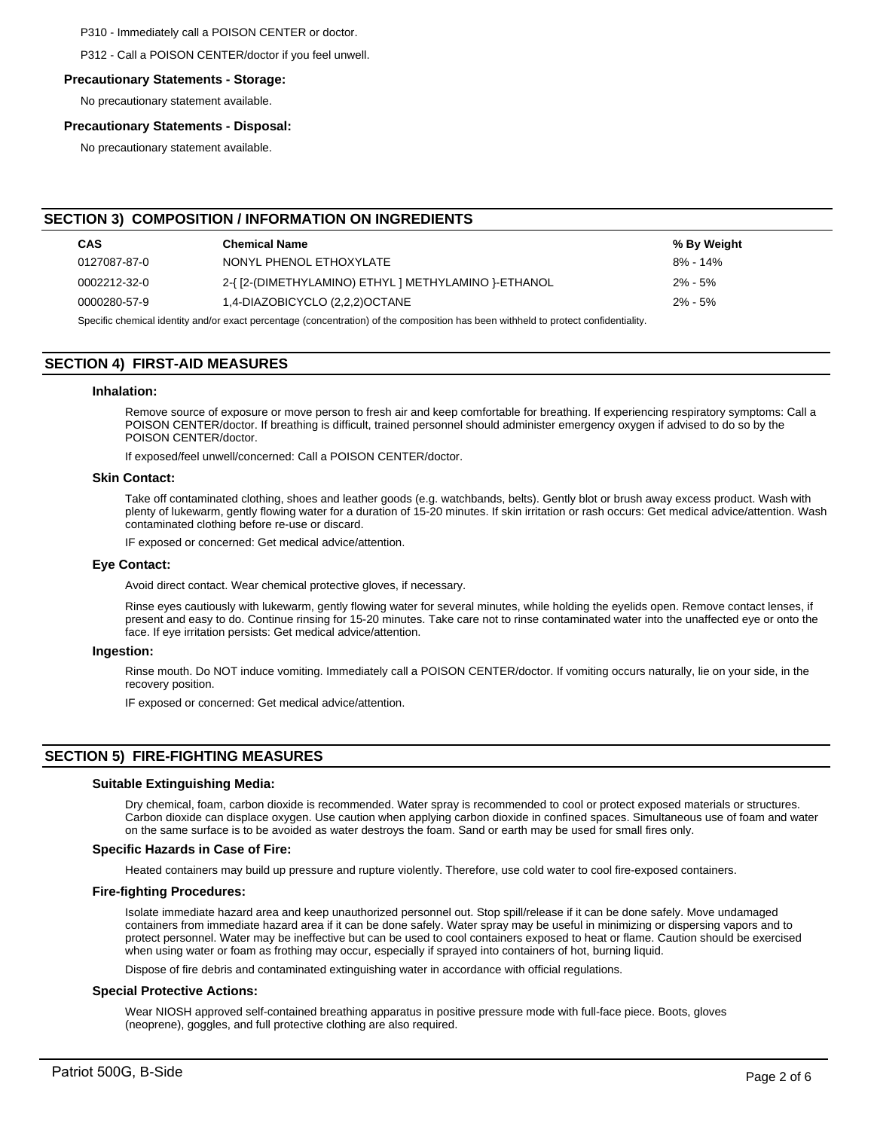P310 - Immediately call a POISON CENTER or doctor.

P312 - Call a POISON CENTER/doctor if you feel unwell.

#### **Precautionary Statements - Storage:**

No precautionary statement available.

# **Precautionary Statements - Disposal:**

No precautionary statement available.

# **SECTION 3) COMPOSITION / INFORMATION ON INGREDIENTS**

| <b>CAS</b>                                                                                                                                                                                                                         | <b>Chemical Name</b>                                 | % By Weight |  |  |
|------------------------------------------------------------------------------------------------------------------------------------------------------------------------------------------------------------------------------------|------------------------------------------------------|-------------|--|--|
| 0127087-87-0                                                                                                                                                                                                                       | NONYL PHENOL ETHOXYLATE                              | 8% - 14%    |  |  |
| 0002212-32-0                                                                                                                                                                                                                       | 2-{ [2-(DIMETHYLAMINO) ETHYL ] METHYLAMINO }-ETHANOL | $2\% - 5\%$ |  |  |
| 0000280-57-9                                                                                                                                                                                                                       | 1,4-DIAZOBICYCLO (2,2,2)OCTANE                       | $2\% - 5\%$ |  |  |
| $\bullet$ . The set of the set of the set of the set of the set of the set of the set of the set of the set of the set of the set of the set of the set of the set of the set of the set of the set of the set of the set of the s |                                                      |             |  |  |

Specific chemical identity and/or exact percentage (concentration) of the composition has been withheld to protect confidentiality.

# **SECTION 4) FIRST-AID MEASURES**

#### **Inhalation:**

Remove source of exposure or move person to fresh air and keep comfortable for breathing. If experiencing respiratory symptoms: Call a POISON CENTER/doctor. If breathing is difficult, trained personnel should administer emergency oxygen if advised to do so by the POISON CENTER/doctor.

If exposed/feel unwell/concerned: Call a POISON CENTER/doctor.

#### **Skin Contact:**

Take off contaminated clothing, shoes and leather goods (e.g. watchbands, belts). Gently blot or brush away excess product. Wash with plenty of lukewarm, gently flowing water for a duration of 15-20 minutes. If skin irritation or rash occurs: Get medical advice/attention. Wash contaminated clothing before re-use or discard.

IF exposed or concerned: Get medical advice/attention.

#### **Eye Contact:**

Avoid direct contact. Wear chemical protective gloves, if necessary.

Rinse eyes cautiously with lukewarm, gently flowing water for several minutes, while holding the eyelids open. Remove contact lenses, if present and easy to do. Continue rinsing for 15-20 minutes. Take care not to rinse contaminated water into the unaffected eye or onto the face. If eye irritation persists: Get medical advice/attention.

#### **Ingestion:**

Rinse mouth. Do NOT induce vomiting. Immediately call a POISON CENTER/doctor. If vomiting occurs naturally, lie on your side, in the recovery position.

IF exposed or concerned: Get medical advice/attention.

# **SECTION 5) FIRE-FIGHTING MEASURES**

#### **Suitable Extinguishing Media:**

Dry chemical, foam, carbon dioxide is recommended. Water spray is recommended to cool or protect exposed materials or structures. Carbon dioxide can displace oxygen. Use caution when applying carbon dioxide in confined spaces. Simultaneous use of foam and water on the same surface is to be avoided as water destroys the foam. Sand or earth may be used for small fires only.

#### **Specific Hazards in Case of Fire:**

Heated containers may build up pressure and rupture violently. Therefore, use cold water to cool fire-exposed containers.

#### **Fire-fighting Procedures:**

Isolate immediate hazard area and keep unauthorized personnel out. Stop spill/release if it can be done safely. Move undamaged containers from immediate hazard area if it can be done safely. Water spray may be useful in minimizing or dispersing vapors and to protect personnel. Water may be ineffective but can be used to cool containers exposed to heat or flame. Caution should be exercised when using water or foam as frothing may occur, especially if sprayed into containers of hot, burning liquid.

Dispose of fire debris and contaminated extinguishing water in accordance with official regulations.

#### **Special Protective Actions:**

Wear NIOSH approved self-contained breathing apparatus in positive pressure mode with full-face piece. Boots, gloves (neoprene), goggles, and full protective clothing are also required.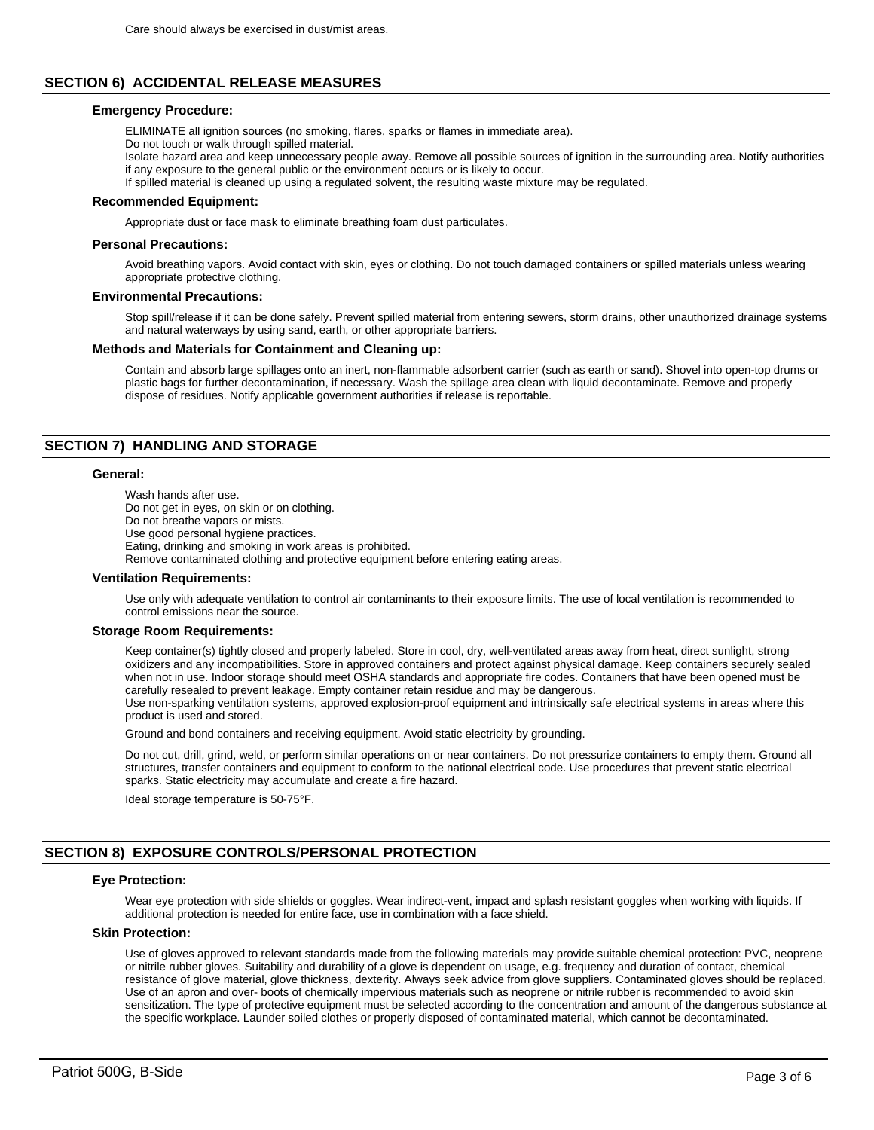# **SECTION 6) ACCIDENTAL RELEASE MEASURES**

#### **Emergency Procedure:**

ELIMINATE all ignition sources (no smoking, flares, sparks or flames in immediate area).

Do not touch or walk through spilled material.

Isolate hazard area and keep unnecessary people away. Remove all possible sources of ignition in the surrounding area. Notify authorities if any exposure to the general public or the environment occurs or is likely to occur.

If spilled material is cleaned up using a regulated solvent, the resulting waste mixture may be regulated.

#### **Recommended Equipment:**

Appropriate dust or face mask to eliminate breathing foam dust particulates.

#### **Personal Precautions:**

Avoid breathing vapors. Avoid contact with skin, eyes or clothing. Do not touch damaged containers or spilled materials unless wearing appropriate protective clothing.

#### **Environmental Precautions:**

Stop spill/release if it can be done safely. Prevent spilled material from entering sewers, storm drains, other unauthorized drainage systems and natural waterways by using sand, earth, or other appropriate barriers.

#### **Methods and Materials for Containment and Cleaning up:**

Contain and absorb large spillages onto an inert, non-flammable adsorbent carrier (such as earth or sand). Shovel into open-top drums or plastic bags for further decontamination, if necessary. Wash the spillage area clean with liquid decontaminate. Remove and properly dispose of residues. Notify applicable government authorities if release is reportable.

# **SECTION 7) HANDLING AND STORAGE**

#### **General:**

Wash hands after use. Do not get in eyes, on skin or on clothing. Do not breathe vapors or mists. Use good personal hygiene practices. Eating, drinking and smoking in work areas is prohibited. Remove contaminated clothing and protective equipment before entering eating areas.

#### **Ventilation Requirements:**

Use only with adequate ventilation to control air contaminants to their exposure limits. The use of local ventilation is recommended to control emissions near the source.

#### **Storage Room Requirements:**

Keep container(s) tightly closed and properly labeled. Store in cool, dry, well-ventilated areas away from heat, direct sunlight, strong oxidizers and any incompatibilities. Store in approved containers and protect against physical damage. Keep containers securely sealed when not in use. Indoor storage should meet OSHA standards and appropriate fire codes. Containers that have been opened must be carefully resealed to prevent leakage. Empty container retain residue and may be dangerous.

Use non-sparking ventilation systems, approved explosion-proof equipment and intrinsically safe electrical systems in areas where this product is used and stored.

Ground and bond containers and receiving equipment. Avoid static electricity by grounding.

Do not cut, drill, grind, weld, or perform similar operations on or near containers. Do not pressurize containers to empty them. Ground all structures, transfer containers and equipment to conform to the national electrical code. Use procedures that prevent static electrical sparks. Static electricity may accumulate and create a fire hazard.

Ideal storage temperature is 50-75°F.

# **SECTION 8) EXPOSURE CONTROLS/PERSONAL PROTECTION**

#### **Eye Protection:**

Wear eye protection with side shields or goggles. Wear indirect-vent, impact and splash resistant goggles when working with liquids. If additional protection is needed for entire face, use in combination with a face shield.

# **Skin Protection:**

Use of gloves approved to relevant standards made from the following materials may provide suitable chemical protection: PVC, neoprene or nitrile rubber gloves. Suitability and durability of a glove is dependent on usage, e.g. frequency and duration of contact, chemical resistance of glove material, glove thickness, dexterity. Always seek advice from glove suppliers. Contaminated gloves should be replaced. Use of an apron and over- boots of chemically impervious materials such as neoprene or nitrile rubber is recommended to avoid skin sensitization. The type of protective equipment must be selected according to the concentration and amount of the dangerous substance at the specific workplace. Launder soiled clothes or properly disposed of contaminated material, which cannot be decontaminated.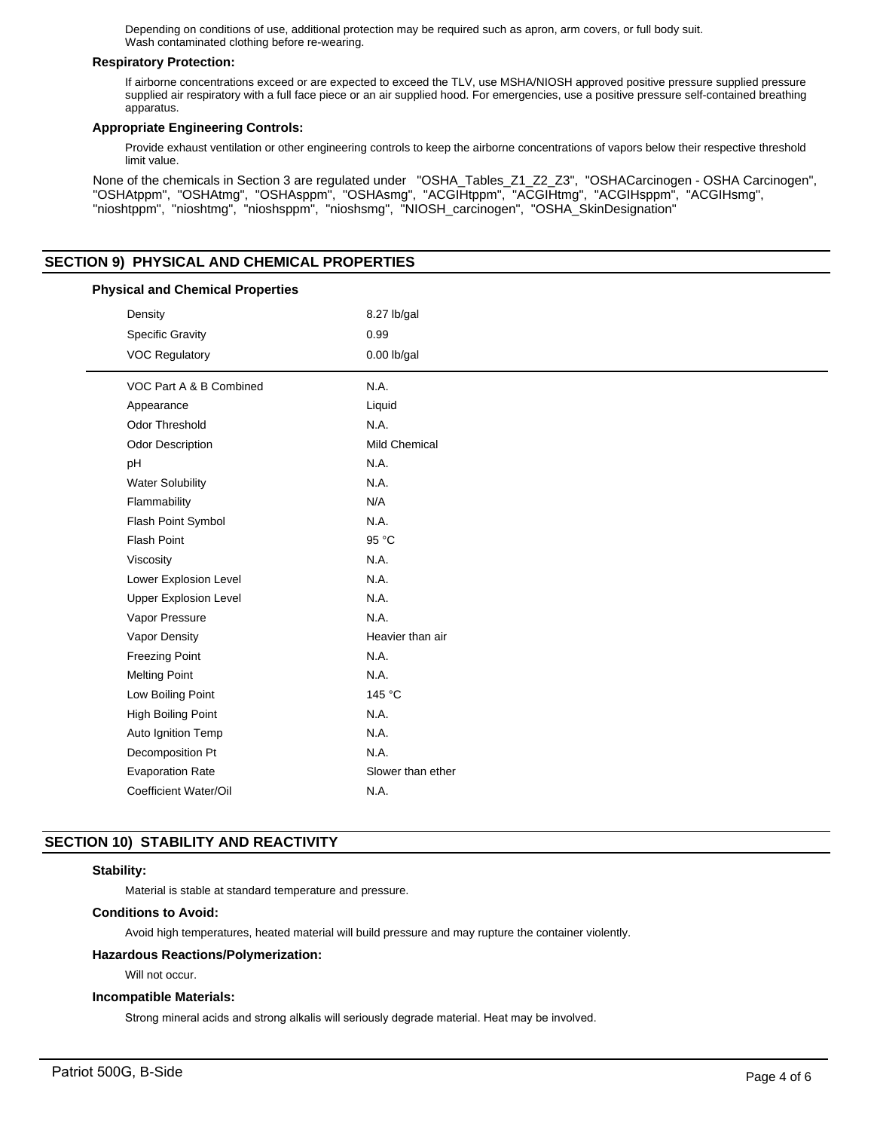Depending on conditions of use, additional protection may be required such as apron, arm covers, or full body suit. Wash contaminated clothing before re-wearing.

# **Respiratory Protection:**

If airborne concentrations exceed or are expected to exceed the TLV, use MSHA/NIOSH approved positive pressure supplied pressure supplied air respiratory with a full face piece or an air supplied hood. For emergencies, use a positive pressure self-contained breathing apparatus.

## **Appropriate Engineering Controls:**

Provide exhaust ventilation or other engineering controls to keep the airborne concentrations of vapors below their respective threshold limit value.

None of the chemicals in Section 3 are regulated under "OSHA\_Tables\_Z1\_Z2\_Z3", "OSHACarcinogen - OSHA Carcinogen", "OSHAtppm", "OSHAtmg", "OSHAsppm", "OSHAsmg", "ACGIHtppm", "ACGIHtmg", "ACGIHsppm", "ACGIHsmg", "nioshtppm", "nioshtmg", "nioshsppm", "nioshsmg", "NIOSH\_carcinogen", "OSHA\_SkinDesignation"

# **SECTION 9) PHYSICAL AND CHEMICAL PROPERTIES**

| <b>Physical and Chemical Properties</b> |                              |                      |  |  |
|-----------------------------------------|------------------------------|----------------------|--|--|
|                                         | Density                      | 8.27 lb/gal          |  |  |
|                                         | <b>Specific Gravity</b>      | 0.99                 |  |  |
|                                         | <b>VOC Regulatory</b>        | $0.00$ lb/gal        |  |  |
|                                         | VOC Part A & B Combined      | N.A.                 |  |  |
|                                         | Appearance                   | Liquid               |  |  |
|                                         | <b>Odor Threshold</b>        | N.A.                 |  |  |
|                                         | <b>Odor Description</b>      | <b>Mild Chemical</b> |  |  |
|                                         | pH                           | N.A.                 |  |  |
|                                         | <b>Water Solubility</b>      | N.A.                 |  |  |
|                                         | Flammability                 | N/A                  |  |  |
|                                         | Flash Point Symbol           | N.A.                 |  |  |
|                                         | <b>Flash Point</b>           | 95 °C                |  |  |
|                                         | Viscosity                    | N.A.                 |  |  |
|                                         | Lower Explosion Level        | N.A.                 |  |  |
|                                         | <b>Upper Explosion Level</b> | N.A.                 |  |  |
|                                         | Vapor Pressure               | N.A.                 |  |  |
|                                         | Vapor Density                | Heavier than air     |  |  |
|                                         | <b>Freezing Point</b>        | N.A.                 |  |  |
|                                         | <b>Melting Point</b>         | N.A.                 |  |  |
|                                         | Low Boiling Point            | 145 °C               |  |  |
|                                         | High Boiling Point           | N.A.                 |  |  |
|                                         | Auto Ignition Temp           | N.A.                 |  |  |
|                                         | Decomposition Pt             | N.A.                 |  |  |
|                                         | <b>Evaporation Rate</b>      | Slower than ether    |  |  |
|                                         | Coefficient Water/Oil        | N.A.                 |  |  |
|                                         |                              |                      |  |  |

# **SECTION 10) STABILITY AND REACTIVITY**

# **Stability:**

Material is stable at standard temperature and pressure.

# **Conditions to Avoid:**

Avoid high temperatures, heated material will build pressure and may rupture the container violently.

# **Hazardous Reactions/Polymerization:**

Will not occur.

# **Incompatible Materials:**

Strong mineral acids and strong alkalis will seriously degrade material. Heat may be involved.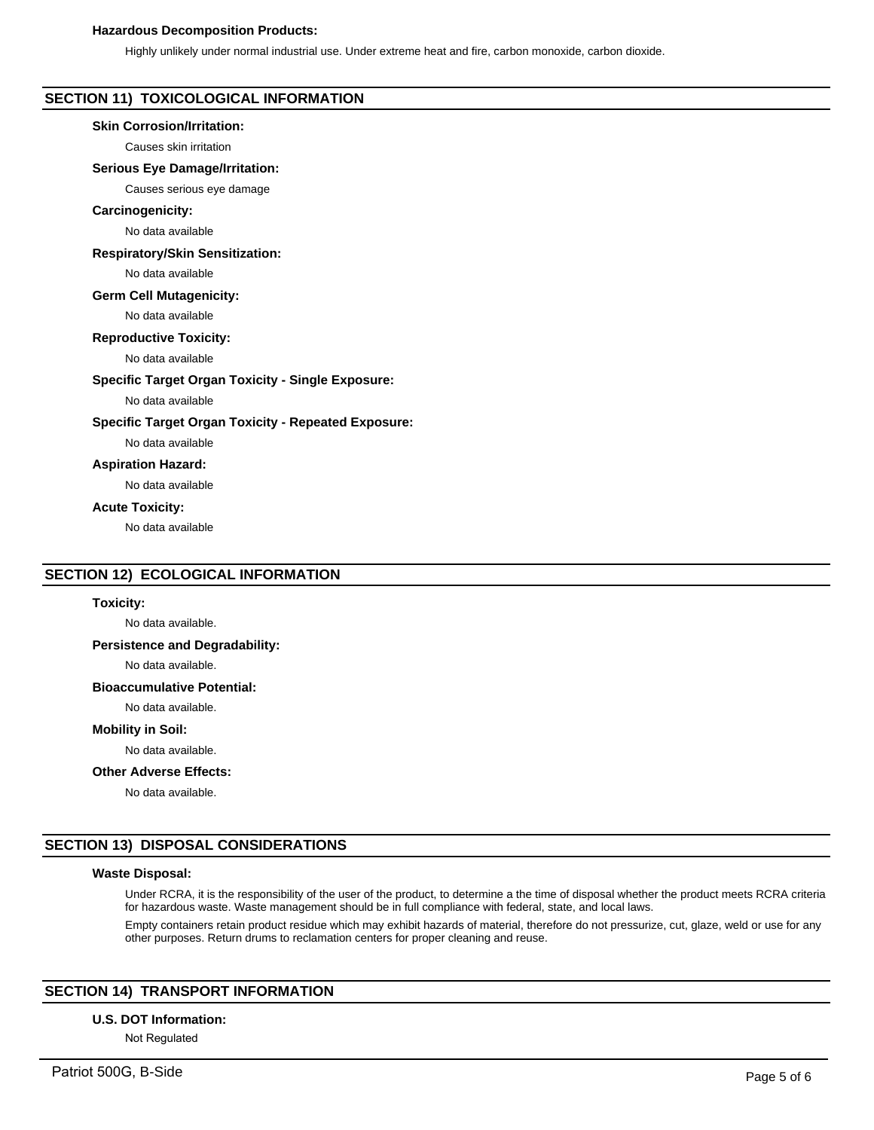# **Hazardous Decomposition Products:**

Highly unlikely under normal industrial use. Under extreme heat and fire, carbon monoxide, carbon dioxide.

# **SECTION 11) TOXICOLOGICAL INFORMATION**

#### **Skin Corrosion/Irritation:**

Causes skin irritation

#### **Serious Eye Damage/Irritation:**

Causes serious eye damage

#### **Carcinogenicity:**

No data available

## **Respiratory/Skin Sensitization:**

No data available

#### **Germ Cell Mutagenicity:**

No data available

# **Reproductive Toxicity:**

No data available

#### **Specific Target Organ Toxicity - Single Exposure:**

No data available

# **Specific Target Organ Toxicity - Repeated Exposure:**

No data available

# **Aspiration Hazard:**

No data available

#### **Acute Toxicity:**

No data available

# **SECTION 12) ECOLOGICAL INFORMATION**

# **Toxicity:**

No data available.

# **Persistence and Degradability:**

No data available.

#### **Bioaccumulative Potential:**

No data available.

#### **Mobility in Soil:**

No data available.

#### **Other Adverse Effects:**

No data available.

# **SECTION 13) DISPOSAL CONSIDERATIONS**

#### **Waste Disposal:**

Under RCRA, it is the responsibility of the user of the product, to determine a the time of disposal whether the product meets RCRA criteria for hazardous waste. Waste management should be in full compliance with federal, state, and local laws.

Empty containers retain product residue which may exhibit hazards of material, therefore do not pressurize, cut, glaze, weld or use for any other purposes. Return drums to reclamation centers for proper cleaning and reuse.

# **SECTION 14) TRANSPORT INFORMATION**

#### **U.S. DOT Information:**

Not Regulated